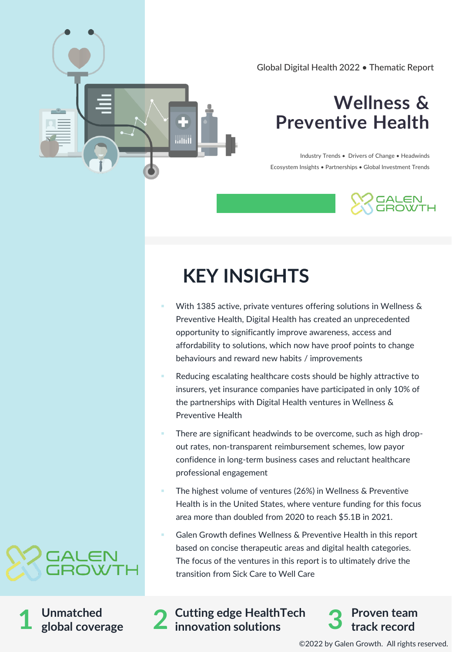Global Digital Health 2022 • Thematic Report

## **Wellness & Preventive Health**

Industry Trends • Drivers of Change • Headwinds Ecosystem Insights • Partnerships • Global Investment Trends



## **KEY INSIGHTS**

- With 1385 active, private ventures offering solutions in Wellness & Preventive Health, Digital Health has created an unprecedented opportunity to significantly improve awareness, access and affordability to solutions, which now have proof points to change behaviours and reward new habits / improvements
- Reducing escalating healthcare costs should be highly attractive to insurers, yet insurance companies have participated in only 10% of the partnerships with Digital Health ventures in Wellness & Preventive Health
- There are significant headwinds to be overcome, such as high dropout rates, non-transparent reimbursement schemes, low payor confidence in long-term business cases and reluctant healthcare professional engagement
- The highest volume of ventures (26%) in Wellness & Preventive Health is in the United States, where venture funding for this focus area more than doubled from 2020 to reach \$5.1B in 2021.
- Galen Growth defines Wellness & Preventive Health in this report based on concise therapeutic areas and digital health categories. The focus of the ventures in this report is to ultimately drive the transition from Sick Care to Well Care



**Unmatched global coverage** 

innovation solutions **Cutting edge HealthTech 1 2 innovation solutions 3**



©2022 by Galen Growth. All rights reserved.